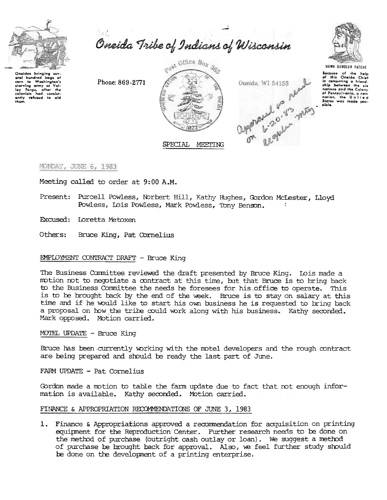

Oneida Tribe of Indians of Wisconsin



Oneidas bringing sev aral hundred bags of Washington's corn to starving army at Valley Forge, after the<br>colonists had consistently refused to aid<br>them. starving army at Val-

Phone: 869-2771





UGWA DEHOLUH YATEHE Bocause of the help<br>of this Oneida Chief<br>in comenting a friend-<br>ship between the six nations and the Colony nanoma and the Colony<br>of Pennsylvania, a new<br>nation, the United<br>States was made pos-<br>sible.

MONDAY, JUNE 6, 1983

Meeting called to order at 9:00 A.M.

Present: Purcell Powless, Norbert Hill, Kathy Hughes, Gordon McLester, Lloyd Powless, Lois Powless, Mark Powless, Tony Benson.

Excused: Loretta Metoxen

Bruce King, Pat Cornelius Others:

## **EMPLOYMENT CONTRACT DRAFT - Bruce King**

The Business Committee reviewed the draft presented by Bruce King. Lois made a motion not to negotiate a contract at this time, but that Bruce is to bring back to the Business Committee the needs he foresees for his office to operate. This is to be brought back by the end of the week. Bruce is to stay on salary at this time and if he would like to start his own business he is requested to bring back a proposal on how the tribe could work along with his business. Kathy seconded. Mark opposed. Motion carried.

## MOTEL UPDATE - Bruce King

Bruce has been currently working with the motel developers and the rough contract are being prepared and should be ready the last part of June.

FARM UPDATE - Pat Cornelius

Gordon made a motion to table the farm update due to fact that not enough information is available. Kathy seconded. Motion carried.

## FINANCE & APPROPRIATION RECOMMENDATIONS OF JUNE 3, 1983

1. Finance & Appropriations approved a recommendation for acquisition on printing equipment for the Reproduction Center. Further research needs to be done on the method of purchase (outright cash outlay or loan). We suggest a method of purchase be brought back for approval. Also, we feel further study should be done on the development of a printing enterprise.